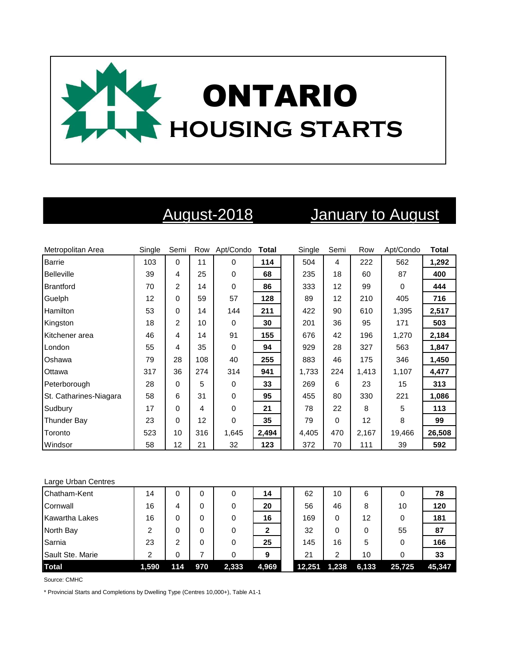

# August-2018 January to August

| Metropolitan Area      | Single | Semi           | Row             | Apt/Condo   | <b>Total</b> | Single | Semi     | Row   | Apt/Condo | <b>Total</b> |
|------------------------|--------|----------------|-----------------|-------------|--------------|--------|----------|-------|-----------|--------------|
| <b>Barrie</b>          | 103    | $\mathbf 0$    | 11              | $\Omega$    | 114          | 504    | 4        | 222   | 562       | 1,292        |
| <b>Belleville</b>      | 39     | 4              | 25              | $\mathbf 0$ | 68           | 235    | 18       | 60    | 87        | 400          |
| Brantford              | 70     | $\overline{c}$ | 14              | 0           | 86           | 333    | 12       | 99    | $\Omega$  | 444          |
| Guelph                 | 12     | 0              | 59              | 57          | 128          | 89     | 12       | 210   | 405       | 716          |
| <b>Hamilton</b>        | 53     | 0              | 14              | 144         | 211          | 422    | 90       | 610   | 1,395     | 2,517        |
| Kingston               | 18     | $\overline{c}$ | 10              | 0           | 30           | 201    | 36       | 95    | 171       | 503          |
| Kitchener area         | 46     | 4              | 14              | 91          | 155          | 676    | 42       | 196   | 1,270     | 2,184        |
| London                 | 55     | 4              | 35              | 0           | 94           | 929    | 28       | 327   | 563       | 1,847        |
| Oshawa                 | 79     | 28             | 108             | 40          | 255          | 883    | 46       | 175   | 346       | 1,450        |
| Ottawa                 | 317    | 36             | 274             | 314         | 941          | 1,733  | 224      | 1,413 | 1,107     | 4,477        |
| Peterborough           | 28     | 0              | 5               | 0           | 33           | 269    | 6        | 23    | 15        | 313          |
| St. Catharines-Niagara | 58     | 6              | 31              | $\mathbf 0$ | 95           | 455    | 80       | 330   | 221       | 1,086        |
| Sudbury                | 17     | 0              | 4               | $\mathbf 0$ | 21           | 78     | 22       | 8     | 5         | 113          |
| <b>Thunder Bay</b>     | 23     | 0              | 12 <sup>2</sup> | $\mathbf 0$ | 35           | 79     | $\Omega$ | 12    | 8         | 99           |
| Toronto                | 523    | 10             | 316             | 1,645       | 2,494        | 4,405  | 470      | 2,167 | 19,466    | 26,508       |
| Windsor                | 58     | 12             | 21              | 32          | 123          | 372    | 70       | 111   | 39        | 592          |

### Large Urban Centres

| Chatham-Kent     | 14    | 0   |     | 0     | 14           | 62     | 10    | 6     |        | 78     |
|------------------|-------|-----|-----|-------|--------------|--------|-------|-------|--------|--------|
| Cornwall         | 16    | 4   |     |       | 20           | 56     | 46    | 8     | 10     | 120    |
| Kawartha Lakes   | 16    | 0   | 0   | 0     | 16           | 169    | 0     | 12    |        | 181    |
| North Bay        | 2     | 0   |     |       | $\mathbf{2}$ | 32     | 0     | 0     | 55     | 87     |
| Sarnia           | 23    | 2   |     | 0     | 25           | 145    | 16    | 5     |        | 166    |
| Sault Ste. Marie | 2     | 0   |     |       | 9            | 21     | ົ     | 10    |        | 33     |
| <b>Total</b>     | 1,590 | 114 | 970 | 2,333 | 4,969        | 12.251 | 1,238 | 6,133 | 25,725 | 45.347 |

Source: CMHC

\* Provincial Starts and Completions by Dwelling Type (Centres 10,000+), Table A1-1